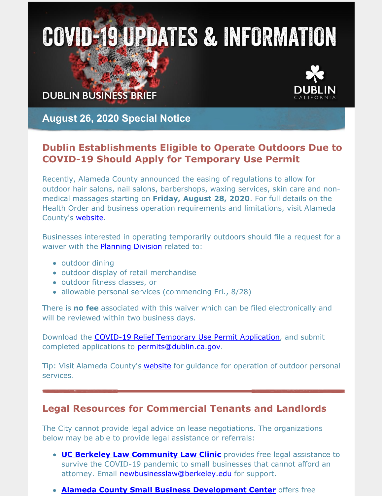# **COVID-19 UPDATES & INFORMATION**

**DUBLIN BUSINESS BRIEF** 



**August 26, 2020 Special Notice**

## **Dublin Establishments Eligible to Operate Outdoors Due to COVID-19 Should Apply for Temporary Use Permit**

Recently, Alameda County announced the easing of regulations to allow for outdoor hair salons, nail salons, barbershops, waxing services, skin care and nonmedical massages starting on **Friday, August 28, 2020**. For full details on the Health Order and business operation requirements and limitations, visit Alameda County's [website](https://covid-19.acgov.org/index.page).

Businesses interested in operating temporarily outdoors should file a request for a waiver with the **[Planning](https://dublin.ca.gov/2209/COVID-19-Business-Relief) Division** related to:

- outdoor dining
- outdoor display of retail merchandise
- outdoor fitness classes, or
- allowable personal services (commencing Fri., 8/28)

There is **no fee** associated with this waiver which can be filed electronically and will be reviewed within two business days.

Download the **COVID-19 Relief [Temporary](https://dublin.ca.gov/DocumentCenter/View/22839/COVID-19-RELIEF-TEMPORARY-USE-PERMIT-APPLICATION) Use Permit Application**, and submit completed applications to **[permits@dublin.ca.gov](mailto:permits@dublin.ca.gov).** 

Tip: Visit Alameda County's **[website](https://covid-19.acgov.org/recovery.page)** for guidance for operation of outdoor personal services.

#### **Legal Resources for Commercial Tenants and Landlords**

The City cannot provide legal advice on lease negotiations. The organizations below may be able to provide legal assistance or referrals:

- **UC Berkeley Law [Community](https://www.law.berkeley.edu/experiential/clinics/new-business-community-law-clinic/) Law Clinic** provides free legal assistance to survive the COVID-19 pandemic to small businesses that cannot afford an attorney. Email [newbusinesslaw@berkeley.edu](mailto:newbusinesslaw@berkeley.edu) for support.
- **Alameda County Small Business [Development](https://www.acsbdc.org/services/one-one-advising-alameda-sbdc) Center** offers free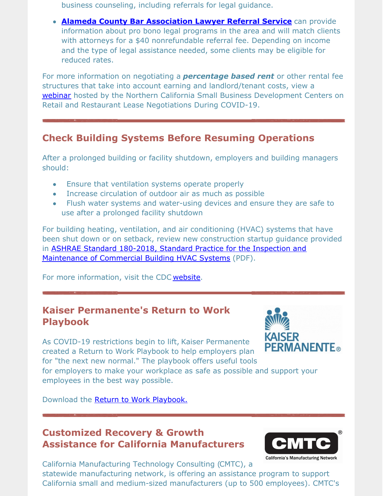business counseling, including referrals for legal guidance.

**Alameda County Bar [Association](https://www.acbanet.org/need-a-lawyer/) Lawyer Referral Service** can provide information about pro bono legal programs in the area and will match clients with attorneys for a \$40 nonrefundable referral fee. Depending on income and the type of legal assistance needed, some clients may be eligible for reduced rates.

For more information on negotiating a *percentage based rent* or other rental fee structures that take into account earning and landlord/tenant costs, view a [webinar](https://vimeo.com/436908722/3b66cb9adf) hosted by the Northern California Small Business Development Centers on Retail and Restaurant Lease Negotiations During COVID-19.

## **Check Building Systems Before Resuming Operations**

After a prolonged building or facility shutdown, employers and building managers should:

- Ensure that ventilation systems operate properly
- Increase circulation of outdoor air as much as possible
- Flush water systems and water-using devices and ensure they are safe to use after a prolonged facility shutdown

For building heating, ventilation, and air conditioning (HVAC) systems that have been shut down or on setback, review new construction startup guidance provided in ASHRAE Standard 180-2018, Standard Practice for the Inspection and [Maintenance](https://www.ashrae.org/File Library/Technical Resources/Bookstore/previews_2016639_pre.pdf) of Commercial Building HVAC Systems (PDF).

For more information, visit the CDC [website](https://www.cdc.gov/coronavirus/2019-ncov/community/office-buildings.html).

### **Kaiser Permanente's Return to Work Playbook**

As COVID-19 restrictions begin to lift, Kaiser Permanente created a Return to Work Playbook to help employers plan for "the next new normal." The playbook offers useful tools

**KAISER PERMANENTE**®

for employers to make your workplace as safe as possible and support your employees in the best way possible.

Download the Return to Work [Playbook.](https://business.kaiserpermanente.org/thrive/resource-center/covid-19-return-to-work-playbook)

## **Customized Recovery & Growth Assistance for California Manufacturers**



California Manufacturing Technology Consulting (CMTC), a statewide manufacturing network, is offering an assistance program to support California small and medium-sized manufacturers (up to 500 employees). CMTC's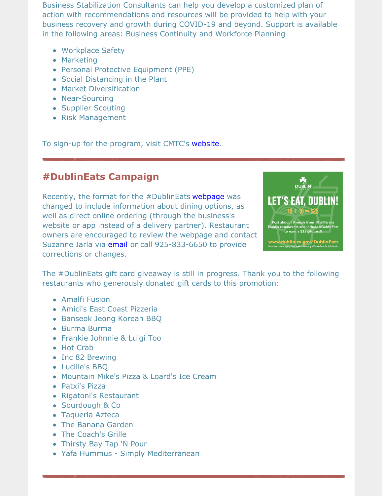Business Stabilization Consultants can help you develop a customized plan of action with recommendations and resources will be provided to help with your business recovery and growth during COVID-19 and beyond. Support is available in the following areas: Business Continuity and Workforce Planning

- Workplace Safety
- Marketing
- Personal Protective Equipment (PPE)
- Social Distancing in the Plant
- Market Diversification
- Near-Sourcing
- Supplier Scouting
- Risk Management

To sign-up for the program, visit CMTC's [website](https://offers.cmtc.com/covid-19-virtual-meeting-request).

#### **#DublinEats Campaign**

Recently, the format for the #DublinEats [webpage](https://dublin.ca.gov/2181/DublinEats) was changed to include information about dining options, as well as direct online ordering (through the business's website or app instead of a delivery partner). Restaurant owners are encouraged to review the webpage and contact Suzanne Iarla via *[email](mailto:suzanne.iarla@dublin.ca.gov)* or call 925-833-6650 to provide corrections or changes.



The #DublinEats gift card giveaway is still in progress. Thank you to the following restaurants who generously donated gift cards to this promotion:

- Amalfi Fusion
- Amici's East Coast Pizzeria
- Banseok Jeong Korean BBQ
- Burma Burma
- Frankie Johnnie & Luigi Too
- Hot Crab
- Inc 82 Brewing
- Lucille's BBQ
- Mountain Mike's Pizza & Loard's Ice Cream
- Patxi's Pizza
- Rigatoni's Restaurant
- Sourdough & Co
- Taqueria Azteca
- The Banana Garden
- The Coach's Grille
- Thirsty Bay Tap 'N Pour
- Yafa Hummus Simply Mediterranean